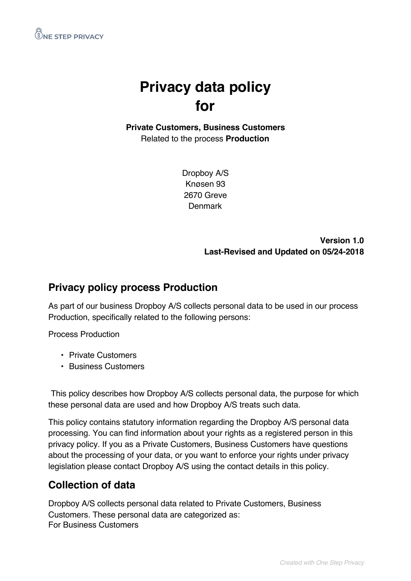

# **Privacy data policy for**

**Private Customers, Business Customers** Related to the process **Production**

> Dropboy A/S Knøsen 93 2670 Greve **Denmark**

> > **Version 1.0 Last-Revised and Updated on 05/24-2018**

#### **Privacy policy process Production**

As part of our business Dropboy A/S collects personal data to be used in our process Production, specifically related to the following persons:

Process Production

- Private Customers
- Business Customers

This policy describes how Dropboy A/S collects personal data, the purpose for which these personal data are used and how Dropboy A/S treats such data.

This policy contains statutory information regarding the Dropboy A/S personal data processing. You can find information about your rights as a registered person in this privacy policy. If you as a Private Customers, Business Customers have questions about the processing of your data, or you want to enforce your rights under privacy legislation please contact Dropboy A/S using the contact details in this policy.

### **Collection of data**

Dropboy A/S collects personal data related to Private Customers, Business Customers. These personal data are categorized as: For Business Customers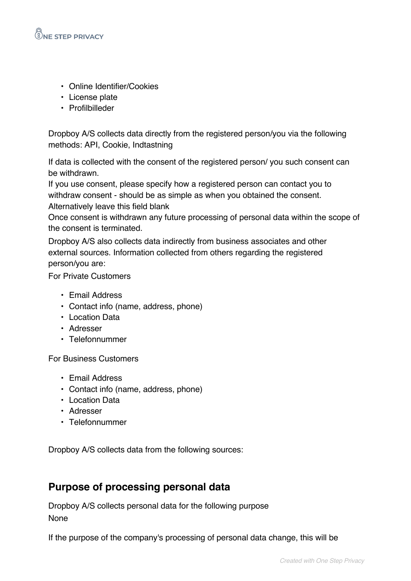

- Online Identifier/Cookies
- License plate
- Profilbilleder

Dropboy A/S collects data directly from the registered person/you via the following methods: API, Cookie, Indtastning

If data is collected with the consent of the registered person/ you such consent can be withdrawn.

If you use consent, please specify how a registered person can contact you to withdraw consent - should be as simple as when you obtained the consent. Alternatively leave this field blank

Once consent is withdrawn any future processing of personal data within the scope of the consent is terminated.

Dropboy A/S also collects data indirectly from business associates and other external sources. Information collected from others regarding the registered person/you are:

For Private Customers

- Email Address
- Contact info (name, address, phone)
- Location Data
- Adresser
- Telefonnummer

For Business Customers

- Email Address
- Contact info (name, address, phone)
- Location Data
- Adresser
- Telefonnummer

Dropboy A/S collects data from the following sources:

#### **Purpose of processing personal data**

Dropboy A/S collects personal data for the following purpose None

If the purpose of the company's processing of personal data change, this will be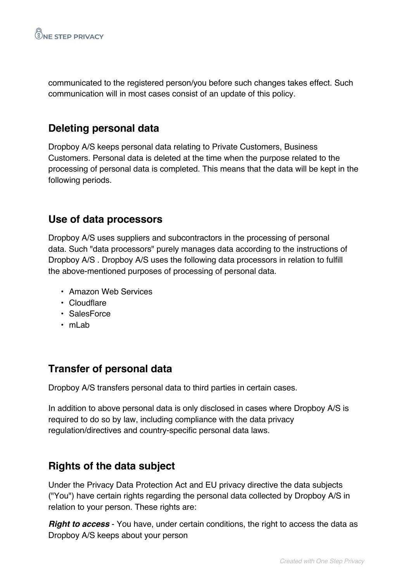communicated to the registered person/you before such changes takes effect. Such communication will in most cases consist of an update of this policy.

## **Deleting personal data**

Dropboy A/S keeps personal data relating to Private Customers, Business Customers. Personal data is deleted at the time when the purpose related to the processing of personal data is completed. This means that the data will be kept in the following periods.

### **Use of data processors**

Dropboy A/S uses suppliers and subcontractors in the processing of personal data. Such "data processors" purely manages data according to the instructions of Dropboy A/S . Dropboy A/S uses the following data processors in relation to fulfill the above-mentioned purposes of processing of personal data.

- Amazon Web Services
- Cloudflare
- SalesForce
- mLab

## **Transfer of personal data**

Dropboy A/S transfers personal data to third parties in certain cases.

In addition to above personal data is only disclosed in cases where Dropboy A/S is required to do so by law, including compliance with the data privacy regulation/directives and country-specific personal data laws.

### **Rights of the data subject**

Under the Privacy Data Protection Act and EU privacy directive the data subjects ("You") have certain rights regarding the personal data collected by Dropboy A/S in relation to your person. These rights are:

*Right to access* - You have, under certain conditions, the right to access the data as Dropboy A/S keeps about your person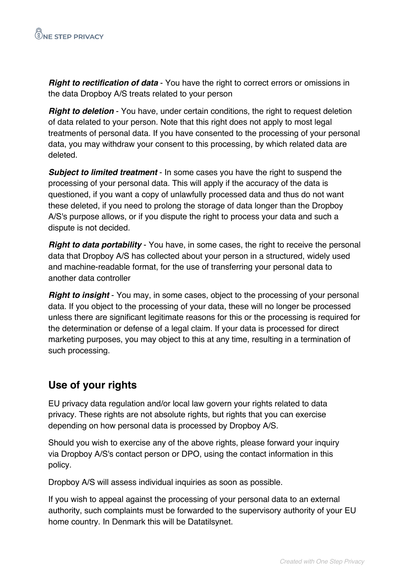*Right to rectification of data* - You have the right to correct errors or omissions in the data Dropboy A/S treats related to your person

*Right to deletion* - You have, under certain conditions, the right to request deletion of data related to your person. Note that this right does not apply to most legal treatments of personal data. If you have consented to the processing of your personal data, you may withdraw your consent to this processing, by which related data are deleted.

*Subject to limited treatment* - In some cases you have the right to suspend the processing of your personal data. This will apply if the accuracy of the data is questioned, if you want a copy of unlawfully processed data and thus do not want these deleted, if you need to prolong the storage of data longer than the Dropboy A/S's purpose allows, or if you dispute the right to process your data and such a dispute is not decided.

*Right to data portability* - You have, in some cases, the right to receive the personal data that Dropboy A/S has collected about your person in a structured, widely used and machine-readable format, for the use of transferring your personal data to another data controller

*Right to insight* - You may, in some cases, object to the processing of your personal data. If you object to the processing of your data, these will no longer be processed unless there are significant legitimate reasons for this or the processing is required for the determination or defense of a legal claim. If your data is processed for direct marketing purposes, you may object to this at any time, resulting in a termination of such processing.

# **Use of your rights**

EU privacy data regulation and/or local law govern your rights related to data privacy. These rights are not absolute rights, but rights that you can exercise depending on how personal data is processed by Dropboy A/S.

Should you wish to exercise any of the above rights, please forward your inquiry via Dropboy A/S's contact person or DPO, using the contact information in this policy.

Dropboy A/S will assess individual inquiries as soon as possible.

If you wish to appeal against the processing of your personal data to an external authority, such complaints must be forwarded to the supervisory authority of your EU home country. In Denmark this will be Datatilsynet.